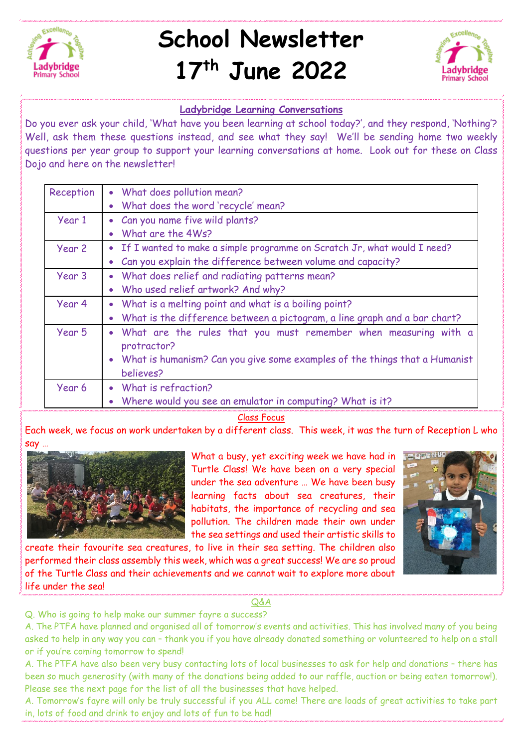

## **School Newsletter 17th June 2022**



## **Ladybridge Learning Conversations**

Do you ever ask your child, 'What have you been learning at school today?', and they respond, 'Nothing'? Well, ask them these questions instead, and see what they say! We'll be sending home two weekly questions per year group to support your learning conversations at home. Look out for these on Class Dojo and here on the newsletter!

| Reception | • What does pollution mean?                                                               |
|-----------|-------------------------------------------------------------------------------------------|
|           | • What does the word 'recycle' mean?                                                      |
| Year 1    | • Can you name five wild plants?                                                          |
|           | What are the 4Ws?                                                                         |
| Year 2    | • If I wanted to make a simple programme on Scratch Jr, what would I need?                |
|           | Can you explain the difference between volume and capacity?                               |
| Year 3    | • What does relief and radiating patterns mean?                                           |
|           | • Who used relief artwork? And why?                                                       |
| Year 4    | • What is a melting point and what is a boiling point?                                    |
|           | What is the difference between a pictogram, a line graph and a bar chart?                 |
| Year 5    | . What are the rules that you must remember when measuring with a<br>protractor?          |
|           | • What is humanism? Can you give some examples of the things that a Humanist<br>believes? |
| Year 6    | • What is refraction?                                                                     |
|           | • Where would you see an emulator in computing? What is it?                               |

Class Focus

Each week, we focus on work undertaken by a different class. This week, it was the turn of Reception L who say …



What a busy, yet exciting week we have had in Turtle Class! We have been on a very special under the sea adventure … We have been busy learning facts about sea creatures, their habitats, the importance of recycling and sea pollution. The children made their own under the sea settings and used their artistic skills to

create their favourite sea creatures, to live in their sea setting. The children also performed their class assembly this week, which was a great success! We are so proud of the Turtle Class and their achievements and we cannot wait to explore more about life under the sea!



Q&A

Q. Who is going to help make our summer fayre a success?

A. The PTFA have planned and organised all of tomorrow's events and activities. This has involved many of you being asked to help in any way you can – thank you if you have already donated something or volunteered to help on a stall or if you're coming tomorrow to spend!

A. The PTFA have also been very busy contacting lots of local businesses to ask for help and donations – there has been so much generosity (with many of the donations being added to our raffle, auction or being eaten tomorrow!). Please see the next page for the list of all the businesses that have helped.

A. Tomorrow's fayre will only be truly successful if you ALL come! There are loads of great activities to take part in, lots of food and drink to enjoy and lots of fun to be had!